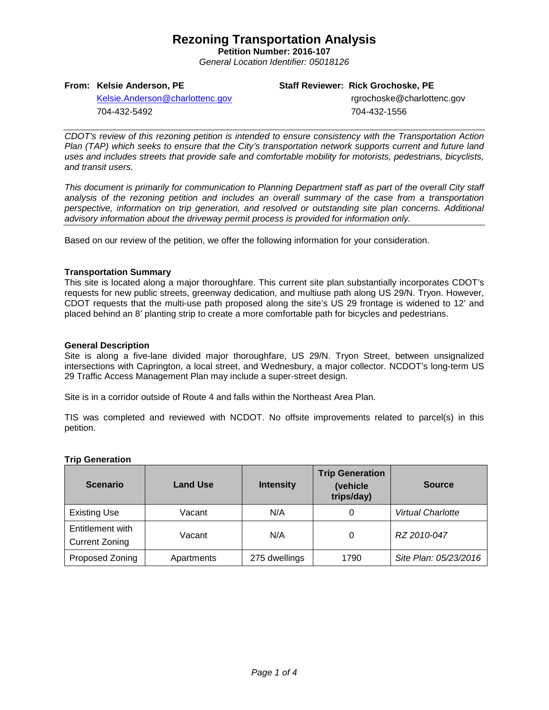## **Rezoning Transportation Analysis**

**Petition Number: 2016-107** *General Location Identifier: 05018126*

#### **From: Kelsie Anderson, PE**

#### **Staff Reviewer: Rick Grochoske, PE**

[Kelsie.Anderson@charlottenc.gov](mailto:Kelsie.Anderson@charlottenc.gov) 704-432-5492

 rgrochoske@charlottenc.gov 704-432-1556

*CDOT's review of this rezoning petition is intended to ensure consistency with the Transportation Action Plan (TAP) which seeks to ensure that the City's transportation network supports current and future land uses and includes streets that provide safe and comfortable mobility for motorists, pedestrians, bicyclists, and transit users.*

*This document is primarily for communication to Planning Department staff as part of the overall City staff analysis of the rezoning petition and includes an overall summary of the case from a transportation perspective, information on trip generation, and resolved or outstanding site plan concerns. Additional advisory information about the driveway permit process is provided for information only.*

Based on our review of the petition, we offer the following information for your consideration.

#### **Transportation Summary**

This site is located along a major thoroughfare. This current site plan substantially incorporates CDOT's requests for new public streets, greenway dedication, and multiuse path along US 29/N. Tryon. However, CDOT requests that the multi-use path proposed along the site's US 29 frontage is widened to 12' and placed behind an 8' planting strip to create a more comfortable path for bicycles and pedestrians.

## **General Description**

Site is along a five-lane divided major thoroughfare, US 29/N. Tryon Street, between unsignalized intersections with Caprington, a local street, and Wednesbury, a major collector. NCDOT's long-term US 29 Traffic Access Management Plan may include a super-street design.

Site is in a corridor outside of Route 4 and falls within the Northeast Area Plan.

TIS was completed and reviewed with NCDOT. No offsite improvements related to parcel(s) in this petition.

#### **Trip Generation**

| <b>Scenario</b>                           | <b>Land Use</b> | <b>Intensity</b> | <b>Trip Generation</b><br>(vehicle<br>trips/day) | <b>Source</b>            |
|-------------------------------------------|-----------------|------------------|--------------------------------------------------|--------------------------|
| <b>Existing Use</b>                       | Vacant          | N/A              | 0                                                | <b>Virtual Charlotte</b> |
| Entitlement with<br><b>Current Zoning</b> | Vacant          | N/A              |                                                  | RZ 2010-047              |
| Proposed Zoning                           | Apartments      | 275 dwellings    | 1790                                             | Site Plan: 05/23/2016    |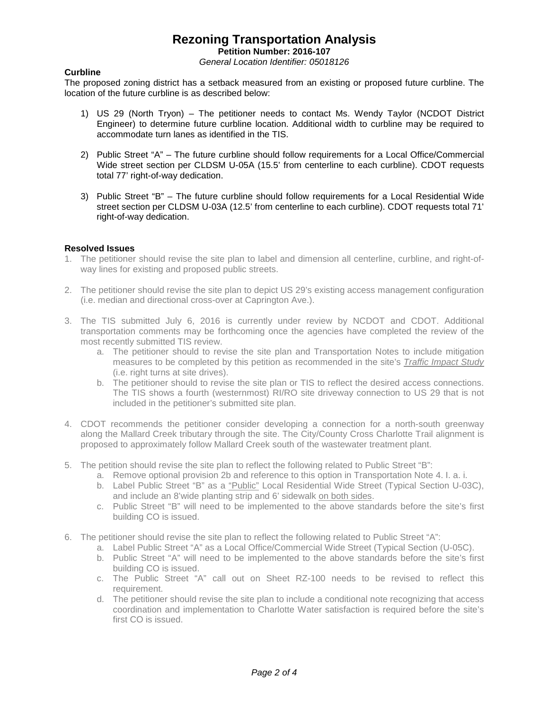## **Rezoning Transportation Analysis**

**Petition Number: 2016-107**

*General Location Identifier: 05018126*

## **Curbline**

The proposed zoning district has a setback measured from an existing or proposed future curbline. The location of the future curbline is as described below:

- 1) US 29 (North Tryon) The petitioner needs to contact Ms. Wendy Taylor (NCDOT District Engineer) to determine future curbline location. Additional width to curbline may be required to accommodate turn lanes as identified in the TIS.
- 2) Public Street "A" The future curbline should follow requirements for a Local Office/Commercial Wide street section per CLDSM U-05A (15.5' from centerline to each curbline). CDOT requests total 77' right-of-way dedication.
- 3) Public Street "B" The future curbline should follow requirements for a Local Residential Wide street section per CLDSM U-03A (12.5' from centerline to each curbline). CDOT requests total 71' right-of-way dedication.

## **Resolved Issues**

- 1. The petitioner should revise the site plan to label and dimension all centerline, curbline, and right-ofway lines for existing and proposed public streets.
- 2. The petitioner should revise the site plan to depict US 29's existing access management configuration (i.e. median and directional cross-over at Caprington Ave.).
- 3. The TIS submitted July 6, 2016 is currently under review by NCDOT and CDOT. Additional transportation comments may be forthcoming once the agencies have completed the review of the most recently submitted TIS review.
	- a. The petitioner should to revise the site plan and Transportation Notes to include mitigation measures to be completed by this petition as recommended in the site's *Traffic Impact Study* (i.e. right turns at site drives).
	- b. The petitioner should to revise the site plan or TIS to reflect the desired access connections. The TIS shows a fourth (westernmost) RI/RO site driveway connection to US 29 that is not included in the petitioner's submitted site plan.
- 4. CDOT recommends the petitioner consider developing a connection for a north-south greenway along the Mallard Creek tributary through the site. The City/County Cross Charlotte Trail alignment is proposed to approximately follow Mallard Creek south of the wastewater treatment plant.
- 5. The petition should revise the site plan to reflect the following related to Public Street "B":
	- a. Remove optional provision 2b and reference to this option in Transportation Note 4. I. a. i.
	- b. Label Public Street "B" as a "Public" Local Residential Wide Street (Typical Section U-03C), and include an 8'wide planting strip and 6' sidewalk on both sides.
	- c. Public Street "B" will need to be implemented to the above standards before the site's first building CO is issued.
- 6. The petitioner should revise the site plan to reflect the following related to Public Street "A":
	- a. Label Public Street "A" as a Local Office/Commercial Wide Street (Typical Section (U-05C).
	- b. Public Street "A" will need to be implemented to the above standards before the site's first building CO is issued.
	- c. The Public Street "A" call out on Sheet RZ-100 needs to be revised to reflect this requirement.
	- d. The petitioner should revise the site plan to include a conditional note recognizing that access coordination and implementation to Charlotte Water satisfaction is required before the site's first CO is issued.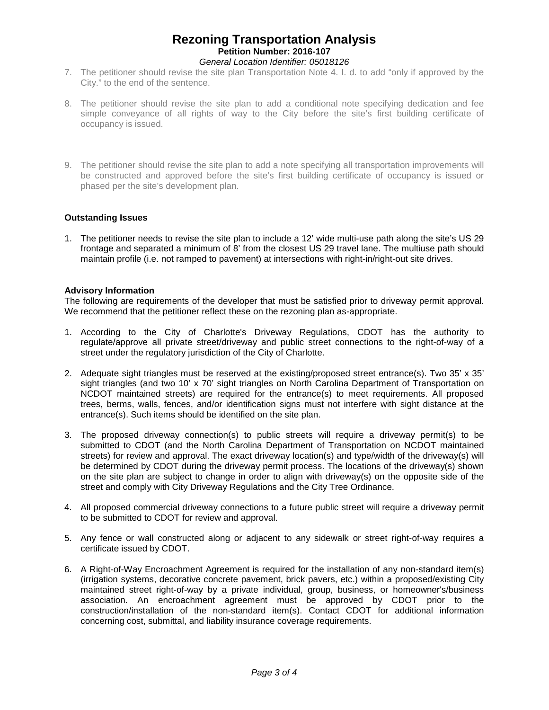## **Rezoning Transportation Analysis Petition Number: 2016-107** *General Location Identifier: 05018126*

- 7. The petitioner should revise the site plan Transportation Note 4. I. d. to add "only if approved by the City." to the end of the sentence.
- 8. The petitioner should revise the site plan to add a conditional note specifying dedication and fee simple conveyance of all rights of way to the City before the site's first building certificate of occupancy is issued.
- 9. The petitioner should revise the site plan to add a note specifying all transportation improvements will be constructed and approved before the site's first building certificate of occupancy is issued or phased per the site's development plan.

## **Outstanding Issues**

1. The petitioner needs to revise the site plan to include a 12' wide multi-use path along the site's US 29 frontage and separated a minimum of 8' from the closest US 29 travel lane. The multiuse path should maintain profile (i.e. not ramped to pavement) at intersections with right-in/right-out site drives.

## **Advisory Information**

The following are requirements of the developer that must be satisfied prior to driveway permit approval. We recommend that the petitioner reflect these on the rezoning plan as-appropriate.

- 1. According to the City of Charlotte's Driveway Regulations, CDOT has the authority to regulate/approve all private street/driveway and public street connections to the right-of-way of a street under the regulatory jurisdiction of the City of Charlotte.
- 2. Adequate sight triangles must be reserved at the existing/proposed street entrance(s). Two 35' x 35' sight triangles (and two 10' x 70' sight triangles on North Carolina Department of Transportation on NCDOT maintained streets) are required for the entrance(s) to meet requirements. All proposed trees, berms, walls, fences, and/or identification signs must not interfere with sight distance at the entrance(s). Such items should be identified on the site plan.
- 3. The proposed driveway connection(s) to public streets will require a driveway permit(s) to be submitted to CDOT (and the North Carolina Department of Transportation on NCDOT maintained streets) for review and approval. The exact driveway location(s) and type/width of the driveway(s) will be determined by CDOT during the driveway permit process. The locations of the driveway(s) shown on the site plan are subject to change in order to align with driveway(s) on the opposite side of the street and comply with City Driveway Regulations and the City Tree Ordinance.
- 4. All proposed commercial driveway connections to a future public street will require a driveway permit to be submitted to CDOT for review and approval.
- 5. Any fence or wall constructed along or adjacent to any sidewalk or street right-of-way requires a certificate issued by CDOT.
- 6. A Right-of-Way Encroachment Agreement is required for the installation of any non-standard item(s) (irrigation systems, decorative concrete pavement, brick pavers, etc.) within a proposed/existing City maintained street right-of-way by a private individual, group, business, or homeowner's/business association. An encroachment agreement must be approved by CDOT prior to the construction/installation of the non-standard item(s). Contact CDOT for additional information concerning cost, submittal, and liability insurance coverage requirements.